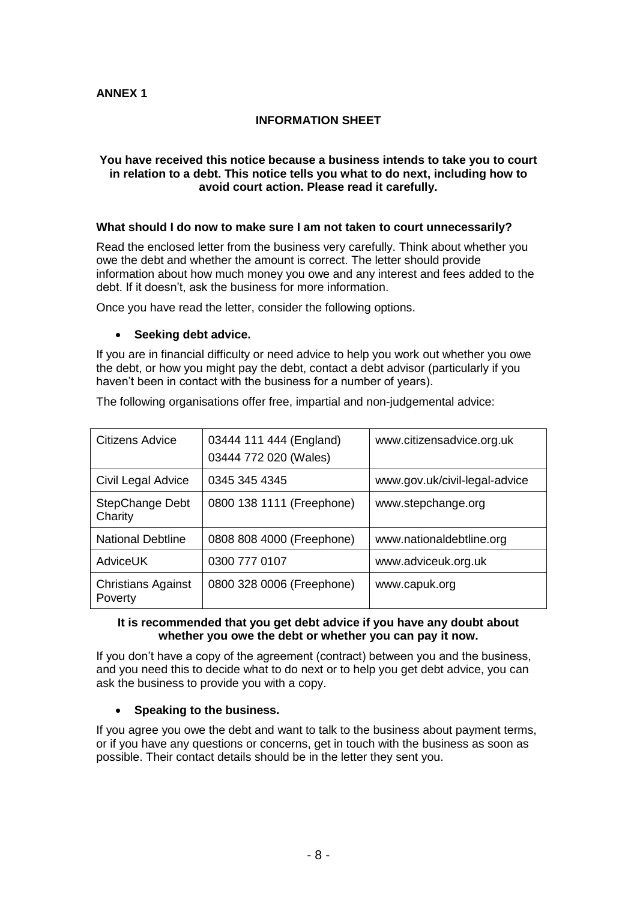# **INFORMATION SHEET**

#### **You have received this notice because a business intends to take you to court in relation to a debt. This notice tells you what to do next, including how to avoid court action. Please read it carefully.**

## **What should I do now to make sure I am not taken to court unnecessarily?**

Read the enclosed letter from the business very carefully. Think about whether you owe the debt and whether the amount is correct. The letter should provide information about how much money you owe and any interest and fees added to the debt. If it doesn't, ask the business for more information.

Once you have read the letter, consider the following options.

#### • **Seeking debt advice.**

If you are in financial difficulty or need advice to help you work out whether you owe the debt, or how you might pay the debt, contact a debt advisor (particularly if you haven't been in contact with the business for a number of years).

The following organisations offer free, impartial and non-judgemental advice:

| Citizens Advice                      | 03444 111 444 (England)<br>03444 772 020 (Wales) | www.citizensadvice.org.uk     |
|--------------------------------------|--------------------------------------------------|-------------------------------|
| Civil Legal Advice                   | 0345 345 4345                                    | www.gov.uk/civil-legal-advice |
| StepChange Debt<br>Charity           | 0800 138 1111 (Freephone)                        | www.stepchange.org            |
| <b>National Debtline</b>             | 0808 808 4000 (Freephone)                        | www.nationaldebtline.org      |
| <b>AdviceUK</b>                      | 0300 777 0107                                    | www.adviceuk.org.uk           |
| <b>Christians Against</b><br>Poverty | 0800 328 0006 (Freephone)                        | www.capuk.org                 |

#### **It is recommended that you get debt advice if you have any doubt about whether you owe the debt or whether you can pay it now.**

If you don't have a copy of the agreement (contract) between you and the business, and you need this to decide what to do next or to help you get debt advice, you can ask the business to provide you with a copy.

### • **Speaking to the business.**

If you agree you owe the debt and want to talk to the business about payment terms, or if you have any questions or concerns, get in touch with the business as soon as possible. Their contact details should be in the letter they sent you.